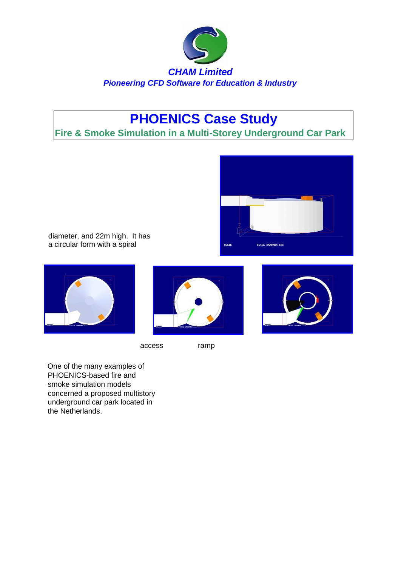

## **PHOENICS Case Study**

**Fire & Smoke Simulation in a Multi-Storey Underground Car Park** 



diameter, and 22m high. It has a circular form with a spiral







One of the many examples of PHOENICS-based fire and smoke simulation models concerned a proposed multistory underground car park located in the Netherlands.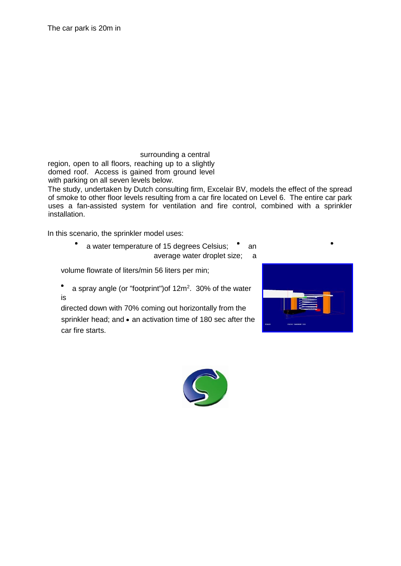The car park is 20m in

surrounding a central region, open to all floors, reaching up to a slightly domed roof. Access is gained from ground level with parking on all seven levels below.

The study, undertaken by Dutch consulting firm, Excelair BV, models the effect of the spread of smoke to other floor levels resulting from a car fire located on Level 6. The entire car park uses a fan-assisted system for ventilation and fire control, combined with a sprinkler installation.

In this scenario, the sprinkler model uses:

a water temperature of 15 degrees Celsius; • an average water droplet size; a

volume flowrate of liters/min 56 liters per min;

 $\bullet$ a spray angle (or "footprint")of 12m<sup>2</sup>. 30% of the water is

directed down with 70% coming out horizontally from the sprinkler head; and  $\bullet$  an activation time of 180 sec after the car fire starts.